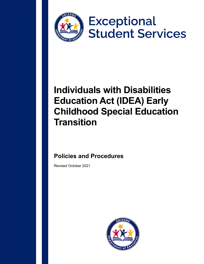

# **Exceptional Student Services**

## **Individuals with Disabilities Education Act (IDEA) Early Childhood Special Education Transition**

## **Policies and Procedures**

Revised October 2021

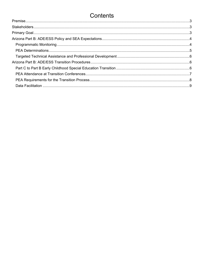### Contents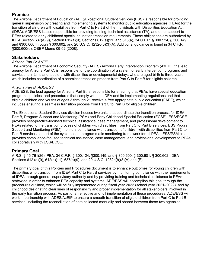#### <span id="page-2-0"></span>**Premise**

The Arizona Department of Education (ADE)/Exceptional Student Services (ESS) is responsible for providing general supervision by creating and implementing systems to monitor public education agencies (PEAs) for the transition of children with disabilities from Part C to Part B of the Individuals with Disabilities Education Act (IDEA). ADE/ESS is also responsible for providing training, technical assistance (TA), and other support to PEAs related to early childhood special education transition requirements. These obligations are authorized by IDEA Section 637(a)(9), Section 612(a)(9), Sections 612(a)(11) and 616(a), 34 C.F.R. § 300.124, § 300.149 and §300.600 through § 300.602, and 20 U.S.C. 1232d(b)(3)(A). Additional guidance is found in 34 C.F.R. §300.600(e), OSEP Memo 09-02 (2008).

#### <span id="page-2-1"></span>**Stakeholders**

#### *Arizona Part C: AzEIP*

The Arizona Department of Economic Security (ADES) Arizona Early Intervention Program (AzEIP), the lead agency for Arizona Part C, is responsible for the coordination of a system of early intervention programs and services to infants and toddlers with disabilities or developmental delays who are aged birth to three years, which includes coordination of a seamless transition process from Part C to Part B for eligible children.

#### *Arizona Part B: ADE/ESS*

ADE/ESS, the lead agency for Arizona Part B, is responsible for ensuring that PEAs have special education programs, policies, and procedures that comply with the IDEA and its implementing regulations and that eligible children and youths of ages 3 through 21 receive a free appropriate public education (FAPE), which includes ensuring a seamless transition process from Part C to Part B for eligible children.

The Exceptional Student Services division houses two units that coordinate the transition process for IDEA Part B, Program Support and Monitoring (PSM) and Early Childhood Special Education (ECSE). ESS/ECSE provides best-practice-focused technical assistance, case management, and professional development to PEAs related to the transition process of children with disabilities from Part C to Part B services. ESS Program Support and Monitoring (PSM) monitors compliance with transition of children with disabilities from Part C to Part B services as part of the cycle-based, programmatic monitoring framework for all PEAs. ESS/PSM also provides compliance-focused technical assistance, case management, and professional development to PEAs collaboratively with ESS/ECSE.

#### <span id="page-2-2"></span>**Primary Goal**

A.R.S. § 15-761(26)–PEA; 34 C.F.R. § 300.124, §300.149, and § 300.600, § 300.601, § 300.602; IDEA Sections 612 (a)(9), 612(a)(11), 637(a)(9); and 20 U.S.C. 1232d(b)(3)(A) and (E)

The primary goal of this Policies and Procedures document is to enhance outcomes for young children with disabilities who transition from IDEA Part C to Part B services by monitoring compliance with the requirements of IDEA through general supervisory authority and by providing training and technical assistance to PEAs statewide in order to enhance PEA capacity and systems. ADE/ESS will accomplish this goal through the procedures outlined, which will be fully implemented during fiscal year 2022 (school year 2021–2022), and by childhood designating clear lines of responsibility and proper implementation for all stakeholders involved in the early transition process. As part of an effective and full implementation of these procedures, ADE/ESS will work in partnership with ADES/AzEIP to ensure a smooth transition of eligible children from Part C to Part B services, including the reconciliation of data collected manually and shared between these two agencies.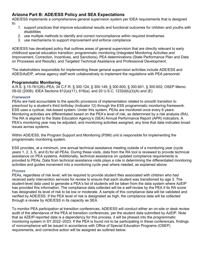#### <span id="page-3-0"></span>**Arizona Part B: ADE/ESS Policy and SEA Expectations**

ADE/ESS implements a comprehensive general supervision system per IDEA requirements that is designed to:

- 1. support practices that improve educational results and functional outcomes for children and youths with disabilities
- 2. use multiple methods to identify and correct noncompliance within required timeframes
- 3. use mechanisms to support improvement and enforce compliance

ADE/ESS has developed policy that outlines areas of general supervision that are directly relevant to early childhood special education transition: programmatic monitoring (Integrated Monitoring Activities and Improvement, Correction, Incentives, and Sanctions), PEA determinations (State Performance Plan and Data on Processes and Results), and Targeted Technical Assistance and Professional Development.

The stakeholders responsible for implementing these general supervision activities include ADE/ESS and ADES/AzEIP, whose agency staff work collaboratively to implement the regulations with PEA personnel.

#### <span id="page-3-1"></span>**Programmatic Monitoring**

A.R.S. § 15-761(26)–PEA; 34 C.F.R. § 300.124, § 300.149, § 300.600, § 300.601, § 300.602; OSEP Memo 09-02 (2008); IDEA Sections 612(a)(11), 616(a); and 20 U.S.C. 1232d(b)(3)(A) and (E)

#### *Framework*

PEAs are held accountable to the specific provisions of implementation related to smooth transition to preschool by a student's third birthday (Indicator 12) through the ESS programmatic monitoring framework. ESS uses a cyclical, risk-based system. Under this system, PEAs are monitored once every 6 years. Monitoring activities are differentiated based on the PEA's level of risk, as determined by a risk analysis (RA). The RA is aligned to the State Education Agency's (SEA) Annual Performance Report (APR) indicators. A PEA's monitoring year may be adjusted, and monitoring activities assigned, any time that data indicates broad issues across systems.

Within ADE/ESS, the Program Support and Monitoring (PSM) unit is responsible for implementing the programmatic monitoring system.

ESS provides, at a minimum, one annual technical assistance meeting outside of a monitoring year (cycle years 1, 2, 3, 5, and 6) for all PEAs. During these visits, data from the RA tool is reviewed to provide technical assistance on PEA systems. Additionally, technical assistance on updated compliance requirements is provided to PEAs. Data from technical assistance visits plays a role in determining the differentiated monitoring activities and guides movement into a monitoring cycle year where needed, as explained above.

#### *Process*

PEAs, regardless of risk level, will be required to provide student files associated with children who had received early intervention services for review to ensure that each student was transitioned by age 3. The student-level data used to generate a PEA's list of students will be taken from the data system where AzEIP has provided this information. The compliance data collected will be a self-review by the PEA if its RA score has designated its level of risk to be low or moderate. A sample of this compliance data will be validated and verified by ADE/ESS. If the PEA level of risk is designated as high, the compliance data will be collected through a review by ADE/ESS in its capacity as SEA.

To monitor PEA participation at transition conferences, ADE/ESS will conduct either an on-site or desk review audit of the attendance of the PEA at transition conferences, per the student data submitted by AzEIP. Note that as AZEIP-reported data is a dependency for this process, it will be phased into the programmatic monitoring system in SY 2022–2023. If the PEA is found not to be participating in these conferences, findings of noncompliance will be issued in accordance with Office of Special Education Programs (OSEP) requirements, and corrective action will be assigned as outlined below.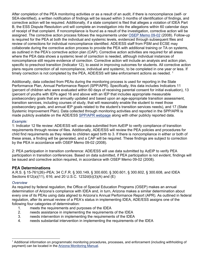After completion of the PEA monitoring activities or as a result of an audit, if there is noncompliance (self- or SEA-identified), a written notification of findings will be issued within 3 months of identification of findings, and corrective action will be required. Additionally, if a state complaint is filed that alleges a violation of IDEA Part B, the ESS Dispute Resolution unit will complete an investigation into the allegations within 60 calendar days of receipt of that complaint. If noncompliance is found as a result of the investigation, corrective action will be assigned. The corrective action process follows the requirements under [OSEP Memo 09-02](https://sites.ed.gov/idea/idea-files/osep-memo-09-02-reporting-on-correction-of-noncompliance/) (2008). Follow-up is required for the PEA at both the individual and systemic levels, evidenced through subsequent files and review of corrections for individual noncompliance identified. ADE/ESS staff from PSM and ECSE may collaborate during the corrective action process to provide the PEA with additional training or TA on systems, as outlined in the PEA's corrective action plan (CAP). Corrective action activities are required for all areas where the PEA data shows a systemic level of correction is needed, although individual instances of noncompliance still require evidence of correction. Corrective action will include an analysis and action plan, specific to preschool transition (Indicator 12), to assist in improving outcomes for students. All corrective action plans require correction of all noncompliance, individual and systemic, to be completed in one year or less. If timely correction is not completed by the PEA, ADE/ESS will take enforcement actions as needed.<sup>[1](#page-4-1)</sup>

Additionally, data collected from PEAs during the monitoring process is used for reporting in the State Performance Plan, Annual Performance Report (SPP/APR). Specifically, this data includes Indicators 11 (percent of children who were evaluated within 60 days of receiving parental consent for initial evaluation), 13 (percent of youths with IEPs aged 16 and above with an IEP that includes appropriate measurable postsecondary goals that are annually updated and based upon an age-appropriate transition assessment, transition services, including courses of study, that will reasonably enable the student to meet those postsecondary goals, and annual IEP goals related to the student's transition services needs), and 17 (State Systemic Improvement Plan). Data collected through monitoring activities and reported in the SPP/APR is made publicly available on the ADE/ESS [SPP/APR webpage](https://www.azed.gov/specialeducation/sppapr) along with other publicly reported data.

#### *Example:*

1: Indicator 12 file review: ADE/ESS will use data submitted from AzEIP to verify compliance of transition requirements through review of files. Additionally, ADE/ESS will review the PEA policies and procedures for child find requirements as they relate to children aged birth to 3. If there is noncompliance in either or both of these areas, a finding will be generated, and a CAP will be required. These findings are subject to correction by the PEA in accordance with OSEP Memo 09-02 (2008).

2: PEA participation in transition conference: ADE/ESS will use data submitted by AzEIP to verify PEA participation in transition conferences. Based on data submitted, if PEA participation is not evident, findings will be issued and corrective action required, in accordance with OSEP Memo 09-02 (2008).

#### <span id="page-4-0"></span>**PEA Determinations**

A.R.S. § 15-761(26)–PEA; 34 C.F.R. § 300.149, § 300.600, § 300.601, § 300.602, § 300.608, and IDEA Sections 612(a)(11), 616; and 20 U.S.C. 1232d(b)(3)(A) and (E)

#### *Overview*

As required by federal regulation, the Office of Special Education Programs (OSEP) makes an annual determination of Arizona's compliance with IDEA and, in turn, Arizona makes a similar determination about every one of its PEAs using data aligned to Arizona's Annual Performance Report (APR). As outlined in federal regulation, after its annual review of a PEA's status in implementing IDEA, ADE/ESS assigns one of the following four categories of determination:

- 1. meets the requirements and purposes of the IDEA
- 2. The assistance in implementing the requirements of the IDEA<br>3. The reads intervention in implementing the requirements of the IDEA
- needs intervention in implementing the requirements of the IDEA
- 4. needs substantial intervention in implementing the requirements of the IDEA

<span id="page-4-1"></span><sup>&</sup>lt;sup>1</sup> Additional information on programmatic monitoring procedures, processes, and enforcement (including withholding of payment) can be located in the [Arizona Monitoring Manual.](https://www.azed.gov/sites/default/files/2020/09/2020-2021%20Monitoring%20Manual%2010-20-2020.pdf)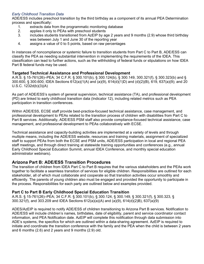#### *Early Childhood Transition Data*

ADE/ESS includes preschool transition by the third birthday as a component of its annual PEA Determination process and specifically:

- 1. extracts data from the programmatic monitoring database
- 2. applies it only to PEAs with preschool students<br>3. includes students transitioned from AzEIP by a
- includes students transitioned from AzEIP by age 2 years and 9 months (2.9) whose third birthday was between July 1 and June 30 of the reporting year
- 4. assigns a value of 0 to 5 points, based on raw percentages

In instances of noncompliance or systemic failure to transition students from Part C to Part B, ADE/ESS can classify the PEA as needing substantial intervention in implementing the requirements of the IDEA. This classification can lead to further actions, such as the withholding of federal funds or stipulations on how IDEA Part B federal funds may be used.

#### <span id="page-5-0"></span>**Targeted Technical Assistance and Professional Development**

A.R.S. § 15-761(26)–PEA; 34 C.F.R. § 300.101(b), § 300.124(b), § 300.149, 300.321(f), § 300.323(b) and § 300.600, § 300.600; IDEA Sections 612(a)(1(A) and (a)(9), 614(d)(1)D) and (d)(2)(B), 619, 637(a)(9); and 20 U.S.C. 1232d(b)(3)(A)

As part of ADE/ESS's system of general supervision, technical assistance (TA), and professional development (PD) are linked to early childhood transition data (Indicator 12), including related metrics such as PEA participation in transition conferences.

Within ADE/ESS, ECSE staff provide best-practice-focused technical assistance, case management, and professional development to PEAs related to the transition process of children with disabilities from Part C to Part B services. Additionally, ADE/ESS PSM staff also provide compliance-focused technical assistance, case management, and professional development to PEAs collaboratively with ECSE.

Technical assistance and capacity-building activities are implemented at a variety of levels and through multiple means, including the ADE/ESS website, resources and training materials, assignment of specialized staff to support PEAs from both the ECSE and PSM units, ADE/ESS participation in local and regional PEA staff meetings, and through direct training at statewide training opportunities and conferences (e.g., annual Early Childhood Special Education Summit, annual IDEA Conference, and monthly special education administrator webinars).

#### <span id="page-5-1"></span>**Arizona Part B: ADE/ESS Transition Procedures**

The transition of children from IDEA Part C to Part B requires that the various stakeholders and the PEAs work together to facilitate a seamless transition of services for eligible children. Responsibilities are outlined for each stakeholder, all of which must collaborate and cooperate so that transition activities occur smoothly and efficiently. The parents of young children also must be engaged and provided the opportunity to participate in the process. Responsibilities for each party are outlined below and examples provided.

#### <span id="page-5-2"></span>**Part C to Part B Early Childhood Special Education Transition**

A.R.S. § 15-761(26)–PEA; 34 C.F.R. § 300.101(b), § 300.124, § 300.149, § 300.321(f), § 300.323, § 300.321(f), and 303.209 and IDEA Sections 612(a)(a)(A) and (a)(9), 614(d)(2)B), 637(a)(9)

ADES/AzEIP is required to notify ADE/ESS of children transitioning to Arizona Part B services. Notification to ADE/ESS will include children's names, birthdates, date of eligibility, parent and service coordinator contact information, and PEA Notification date. AzEIP will complete this notification through data submission into ADE's systems, the specifics for which are outlined within a data-sharing agreement. AzEIP is required to initiate and coordinate the transition conference with the family and the PEA when the child is between 2 years and 6 months (2.6) and 2 years and 9 months (2.9) old.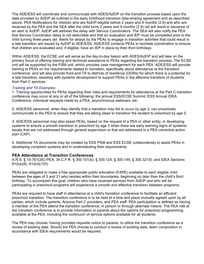The ADE/ESS will coordinate and communicate with ADES/AzEIP on the transition process based upon the data provided by AzEIP as outlined in the early childhood transition data-sharing agreement and as described above. PEA Notifications for children who are AzEIP-eligible before 2 years and 9 months (2.9) and who are received by the PEA and the SEA after the child turns 2 years and 9 months (2.9) old will result in issuance of an alert to AzEIP. AzEIP will address the delay with Service Coordinators. The SEA will also notify the PEA that Service Coordinator delay is not deductible and that an evaluation and IEP must be completed prior to the child turning three years old. Alerts for delays by the PEAs to engage in transition activities that could result in a late transition are issued by AzEIP to ADE/ESS. ADE/ESS contacts PEAs to facilitate coordination to ensure that children are evaluated and, if eligible, have an IEP in place by their third birthdays.

Within ADE/ESS, the ECSE unit will serve as the day-to-day liaison with ADES/AzEIP and will take on the primary focus of offering training and technical assistance to PEAs regarding the transition process. The ECSE unit will be supported by the PSM unit, which provides case management for each PEA. ADE/ESS will provide training to PEAs on the requirements related to transition, specifically about attendance at the transition conference, and will also provide front-end TA to districts of residence (DORs) for which there is a potential for a late transition, assisting with systems development to support PEAs in the effective transition of students from Part C services.

#### *Training and TA Examples:*

1: Training opportunities for PEAs regarding their roles and requirements for attendance at the Part C transition conference may occur at any or all of the following: the annual ESS/ECSE Summit, ESS Annual IDEA Conference, individual requests made by a PEA, asynchronous webinars, etc.

2: ADE/ESS personnel, when they identify that a transition may fail to occur by age 3, can proactively communicate to the PEA to ensure that they are taking steps to transition the student to preschool by age 3.

3: ADE/ESS personnel may also assist PEAs, based on the request of a PEA or other entity, in developing systems to ensure a smooth transition to preschool by age 3 when there are early warning signs of systemic issues that are not addressed through general supervision or that are addressed in a PEA corrective action plan (CAP).

4: Additional TA documents may be created by ESS PSM and ESS ECSE collaboratively to assist PEAs in developing compliant systems and in understanding their requirements.

#### <span id="page-6-0"></span>**PEA Attendance at Transition Conferences**

A.R.S. § 15-761(26)–PEA; 34 C.F.R. § 300.101(b), § 300.124, § 300.149, § 300.321(f); and IDEA Sections 612(a)(9), 614(d)(1(D)

PEAs are obligated to make a free appropriate public education (FAPE) available to each eligible child between the ages of 3 and 21 who resides within their boundaries, beginning no later than the child's third birthday. To accomplish this goal, children who have received services from AzEIP and who will be participating in preschool programs will experience a smooth and effective transition between programs.

PEAs are required to have staff in attendance at a child's transition conference to facilitate an efficient preschool transition. The transition conference is to be held at a time and place mutually agreed upon by all parties, which include parents, Arizona Part C providers, and PEA staff. PEA participation is defined as having a member of the PEA attend the transition conference, in person or through alternate means. The PEA role at the transition conference is to provide information to parents about the options for preschool programming available at the PEA, including the continuum of service options available for all students.

The PEA may choose, having provided requisite notice to parents, to utilize the transition conference as a review of existing data. Should the PEA choose to conduct a review of existing data, team composition in accordance with IDEA requirements would be required.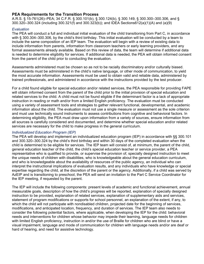#### <span id="page-7-0"></span>**PEA Requirements for the Transition Process**

A.R.S. § 15-761(26)–PEA; 34 C.F.R. § 300.101(b), § 300.124(b), § 300.149, § 300.300–300.306, and § 300.320–300.324 (including 300.321(f) and 300.323(b)); and IDEA Sections612(a)(1)(A) and (a)(9)

#### *Evaluation*

The PEA will conduct a full and individual initial evaluation of the child transitioning from Part C, in accordance with § 300.304–300.306, by the child's third birthday. This initial evaluation will be conducted by a team to include the same composition of an IEP team. The evaluation will begin with a review of existing data to include information from parents, information from classroom teachers or early learning providers, and any formal assessments already available. Based on this review of data, the team will determine if additional data is needed to determine eligibility for services. If additional data is needed, the PEA will obtain informed consent from the parent of the child prior to conducting the evaluation.

Assessments administered must be chosen so as not to be racially discriminatory and/or culturally biased. Assessments must be administered in the child's native language, or other mode of communication, to yield the most accurate information. Assessments must be used to obtain valid and reliable data, administered by trained professionals, and administered in accordance with the instructions provided by the test producer.

For a child found eligible for special education and/or related services, the PEA responsible for providing FAPE will obtain informed consent from the parent of the child prior to the initial provision of special education and related services to the child. A child must not be found eligible if the determinant factor is a lack of appropriate instruction in reading or math and/or from a limited English proficiency. The evaluation must be conducted using a variety of assessment tools and strategies to gather relevant functional, developmental, and academic information about the child. The evaluation must not use a single measure or assessment as the sole criterion and must use technically sound instruments to assess contributions from cognitive and behavioral factors. In determining eligibility, the PEA must draw upon information from a variety of sources, ensure information from all sources is carefully considered and documented, and determine whether special education and/or related services are necessary for the child to make progress in the general curriculum.

#### *Individualized Education Program (IEP)*

The PEA will develop and implement an individualized education program (IEP) in accordance with §§ 300.101 and 300.320–300.324 by the child's third birthday and within 30 days of the completed evaluation when the child is determined to be eligible for services. The IEP team will consist of, at minimum, the parent of the child, general education teacher of the child, the child's special education teacher or service provider, a PEA representative who is qualified to provide, or supervise the provision of, specially designed instruction to meet the unique needs of children with disabilities, who is knowledgeable about the general education curriculum, and who is knowledgeable about the availability of resources of the public agency, an individual who can interpret the instructional implications of evaluation results, and any individuals who have knowledge or special expertise regarding the child, at the discretion of the parent or the agency. Additionally, if a child was served by AzEIP and is transitioning to preschool, the PEA will send an invitation to the Part C Service Coordinator for the IEP meeting, if requested by the parent.

The IEP will include the following components: present levels of academic and functional achievement, annual measurable goals, description of how the child's progress will be reported, explanation of specially designed instruction to be provided, explanation of related services, explanation of supplementary aids and services, statement of program modifications or supports for school personnel, an explanation of the extent, if any, to which the child will not participate with nondisabled children, projected date for the beginning of services, modifications, and anticipated location, frequency, and duration of services. The IEP team also needs to consider the following potential factors, where applicable, when developing the IEP for the child: behavioral needs and interventions for children whose behavior may impede their learning, language needs for children with limited English proficiency, instruction in and/or the use of Braille for children who are blind or have a visual impairment, language and mode of communication for children with language needs and/or are deaf or hard of hearing, and need for assistive technology.